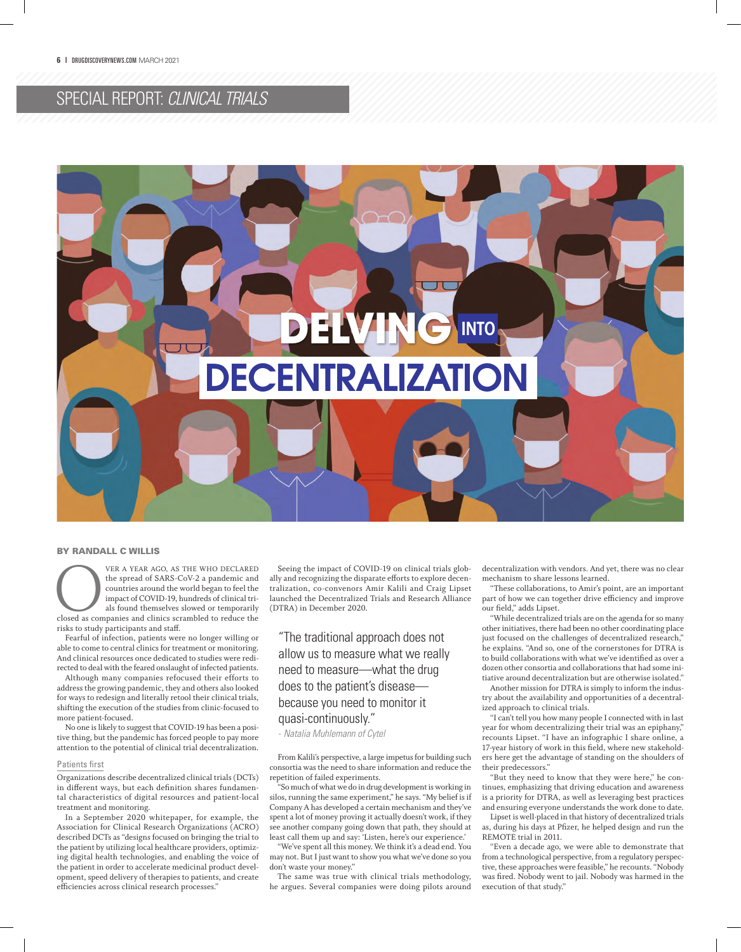## SPECIAL REPORT: *CLINICAL TRIALS*



#### BY RANDALL C WILLIS

VER A YEAR AGO, AS THE WHO DECLARED<br>the spread of SARS-CoV-2 a pandemic and<br>countries around the world began to feel the<br>impact of COVID-19, hundreds of clinical tri-<br>als found themselves slowed or temporarily<br>closed as co the spread of SARS-CoV-2 a pandemic and countries around the world began to feel the impact of COVID-19, hundreds of clinical trials found themselves slowed or temporarily closed as companies and clinics scrambled to reduce the risks to study participants and staff.

Fearful of infection, patients were no longer willing or able to come to central clinics for treatment or monitoring. And clinical resources once dedicated to studies were redirected to deal with the feared onslaught of infected patients.

Although many companies refocused their efforts to address the growing pandemic, they and others also looked for ways to redesign and literally retool their clinical trials, shifting the execution of the studies from clinic-focused to more patient-focused.

No one is likely to suggest that COVID-19 has been a positive thing, but the pandemic has forced people to pay more attention to the potential of clinical trial decentralization.

#### Patients first

Organizations describe decentralized clinical trials (DCTs) in different ways, but each definition shares fundamental characteristics of digital resources and patient-local treatment and monitoring.

In a September 2020 whitepaper, for example, the Association for Clinical Research Organizations (ACRO) described DCTs as "designs focused on bringing the trial to the patient by utilizing local healthcare providers, optimizing digital health technologies, and enabling the voice of the patient in order to accelerate medicinal product development, speed delivery of therapies to patients, and create efficiencies across clinical research processes."

Seeing the impact of COVID-19 on clinical trials globally and recognizing the disparate efforts to explore decentralization, co-convenors Amir Kalili and Craig Lipset launched the Decentralized Trials and Research Alliance (DTRA) in December 2020.

"The traditional approach does not allow us to measure what we really need to measure—what the drug does to the patient's disease because you need to monitor it quasi-continuously."

- *Natalia Muhlemann of Cytel*

From Kalili's perspective, a large impetus for building such consortia was the need to share information and reduce the repetition of failed experiments.

"So much of what we do in drug development is working in silos, running the same experiment," he says. "My belief is if Company A has developed a certain mechanism and they've spent a lot of money proving it actually doesn't work, if they see another company going down that path, they should at least call them up and say: 'Listen, here's our experience.'

"We've spent all this money. We think it's a dead end. You may not. But I just want to show you what we've done so you don't waste your money."

The same was true with clinical trials methodology, he argues. Several companies were doing pilots around decentralization with vendors. And yet, there was no clear mechanism to share lessons learned.

"These collaborations, to Amir's point, are an important part of how we can together drive efficiency and improve our field," adds Lipset.

"While decentralized trials are on the agenda for so many other initiatives, there had been no other coordinating place just focused on the challenges of decentralized research," he explains. "And so, one of the cornerstones for DTRA is to build collaborations with what we've identified as over a dozen other consortia and collaborations that had some initiative around decentralization but are otherwise isolated."

Another mission for DTRA is simply to inform the industry about the availability and opportunities of a decentralized approach to clinical trials.

"I can't tell you how many people I connected with in last year for whom decentralizing their trial was an epiphany," recounts Lipset. "I have an infographic I share online, a 17-year history of work in this field, where new stakeholders here get the advantage of standing on the shoulders of their predecessors."

"But they need to know that they were here," he continues, emphasizing that driving education and awareness is a priority for DTRA, as well as leveraging best practices and ensuring everyone understands the work done to date.

Lipset is well-placed in that history of decentralized trials as, during his days at Pfizer, he helped design and run the REMOTE trial in 2011.

"Even a decade ago, we were able to demonstrate that from a technological perspective, from a regulatory perspective, these approaches were feasible," he recounts. "Nobody was fired. Nobody went to jail. Nobody was harmed in the execution of that study."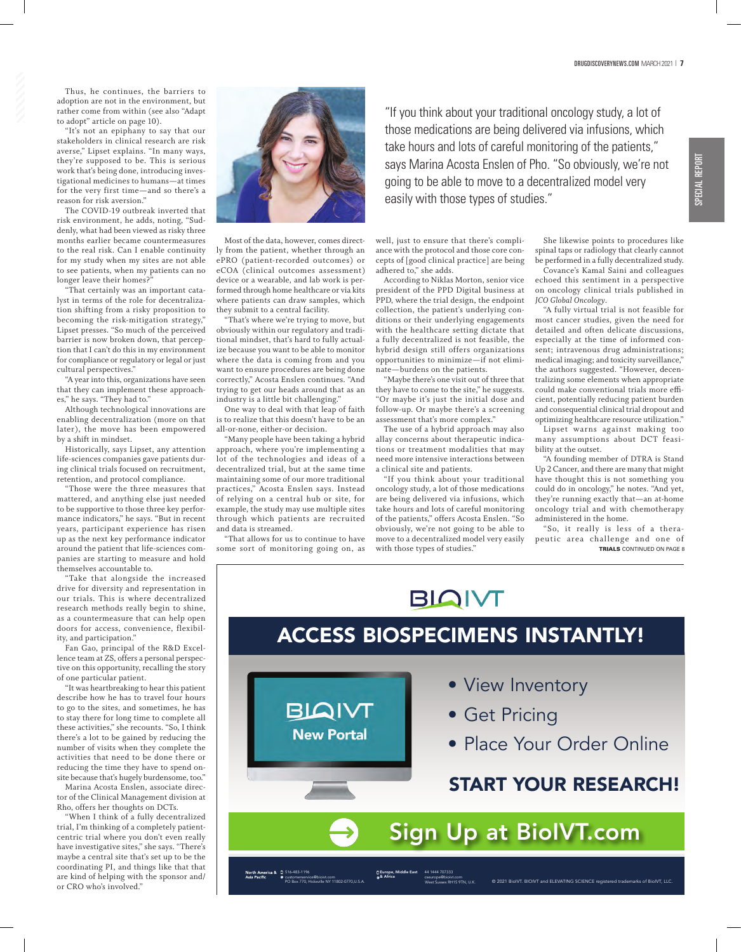Thus, he continues, the barriers to adoption are not in the environment, but rather come from within (see also "Adapt to adopt" article on page 10).

"It's not an epiphany to say that our stakeholders in clinical research are risk averse," Lipset explains. "In many ways, they're supposed to be. This is serious work that's being done, introducing investigational medicines to humans—at times for the very first time—and so there's a reason for risk aversion."

The COVID-19 outbreak inverted that risk environment, he adds, noting, "Suddenly, what had been viewed as risky three months earlier became countermeasures to the real risk. Can I enable continuity for my study when my sites are not able to see patients, when my patients can no longer leave their homes?"

"That certainly was an important catalyst in terms of the role for decentralization shifting from a risky proposition to becoming the risk-mitigation strategy," Lipset presses. "So much of the perceived barrier is now broken down, that perception that I can't do this in my environment for compliance or regulatory or legal or just cultural perspectives."

"A year into this, organizations have seen that they can implement these approaches," he says. "They had to."

Although technological innovations are enabling decentralization (more on that later), the move has been empowered by a shift in mindset.

Historically, says Lipset, any attention life-sciences companies gave patients during clinical trials focused on recruitment, retention, and protocol compliance.

Those were the three measures that mattered, and anything else just needed to be supportive to those three key performance indicators," he says. "But in recent years, participant experience has risen up as the next key performance indicator around the patient that life-sciences companies are starting to measure and hold themselves accountable to.

"Take that alongside the increased drive for diversity and representation in our trials. This is where decentralized research methods really begin to shine, as a countermeasure that can help open doors for access, convenience, flexibility, and participation."

Fan Gao, principal of the R&D Excellence team at ZS, offers a personal perspective on this opportunity, recalling the story of one particular patient.

"It was heartbreaking to hear this patient describe how he has to travel four hours to go to the sites, and sometimes, he has to stay there for long time to complete all these activities," she recounts. "So, I think there's a lot to be gained by reducing the number of visits when they complete the activities that need to be done there or reducing the time they have to spend onsite because that's hugely burdensome, too."

Marina Acosta Enslen, associate director of the Clinical Management division at Rho, offers her thoughts on DCTs.

"When I think of a fully decentralized trial, I'm thinking of a completely patientcentric trial where you don't even really have investigative sites," she says. "There's maybe a central site that's set up to be the coordinating PI, and things like that that are kind of helping with the sponsor and/ or CRO who's involved."



Most of the data, however, comes directly from the patient, whether through an ePRO (patient-recorded outcomes) or eCOA (clinical outcomes assessment) device or a wearable, and lab work is performed through home healthcare or via kits where patients can draw samples, which they submit to a central facility.

"That's where we're trying to move, but obviously within our regulatory and traditional mindset, that's hard to fully actualize because you want to be able to monitor where the data is coming from and you want to ensure procedures are being done correctly," Acosta Enslen continues. "And trying to get our heads around that as an industry is a little bit challenging."

One way to deal with that leap of faith is to realize that this doesn't have to be an all-or-none, either-or decision.

"Many people have been taking a hybrid approach, where you're implementing a lot of the technologies and ideas of a decentralized trial, but at the same time maintaining some of our more traditional practices," Acosta Enslen says. Instead of relying on a central hub or site, for example, the study may use multiple sites through which patients are recruited and data is streamed.

"That allows for us to continue to have some sort of monitoring going on, as

"If you think about your traditional oncology study, a lot of those medications are being delivered via infusions, which take hours and lots of careful monitoring of the patients," says Marina Acosta Enslen of Pho. "So obviously, we're not going to be able to move to a decentralized model very easily with those types of studies."

well, just to ensure that there's compliance with the protocol and those core concepts of [good clinical practice] are being adhered to," she adds.

According to Niklas Morton, senior vice president of the PPD Digital business at PPD, where the trial design, the endpoint collection, the patient's underlying conditions or their underlying engagements with the healthcare setting dictate that a fully decentralized is not feasible, the hybrid design still offers organizations opportunities to minimize—if not eliminate—burdens on the patients.

"Maybe there's one visit out of three that they have to come to the site," he suggests. "Or maybe it's just the initial dose and follow-up. Or maybe there's a screening assessment that's more complex."

The use of a hybrid approach may also allay concerns about therapeutic indications or treatment modalities that may need more intensive interactions between a clinical site and patients.

"If you think about your traditional oncology study, a lot of those medications are being delivered via infusions, which take hours and lots of careful monitoring of the patients," offers Acosta Enslen. "So obviously, we're not going to be able to move to a decentralized model very easily with those types of studies."

She likewise points to procedures like spinal taps or radiology that clearly cannot be performed in a fully decentralized study.

Covance's Kamal Saini and colleagues echoed this sentiment in a perspective on oncology clinical trials published in *JCO Global Oncology*.

"A fully virtual trial is not feasible for most cancer studies, given the need for detailed and often delicate discussions, especially at the time of informed consent; intravenous drug administrations; medical imaging; and toxicity surveillance," the authors suggested. "However, decentralizing some elements when appropriate could make conventional trials more efficient, potentially reducing patient burden and consequential clinical trial dropout and optimizing healthcare resource utilization."

Lipset warns against making too many assumptions about DCT feasibility at the outset.

"A founding member of DTRA is Stand Up 2 Cancer, and there are many that might have thought this is not something you could do in oncology," he notes. "And yet, they're running exactly that—an at-home oncology trial and with chemotherapy administered in the home.

"So, it really is less of a therapeutic area challenge and one of TRIALS CONTINUED ON PAGE 8

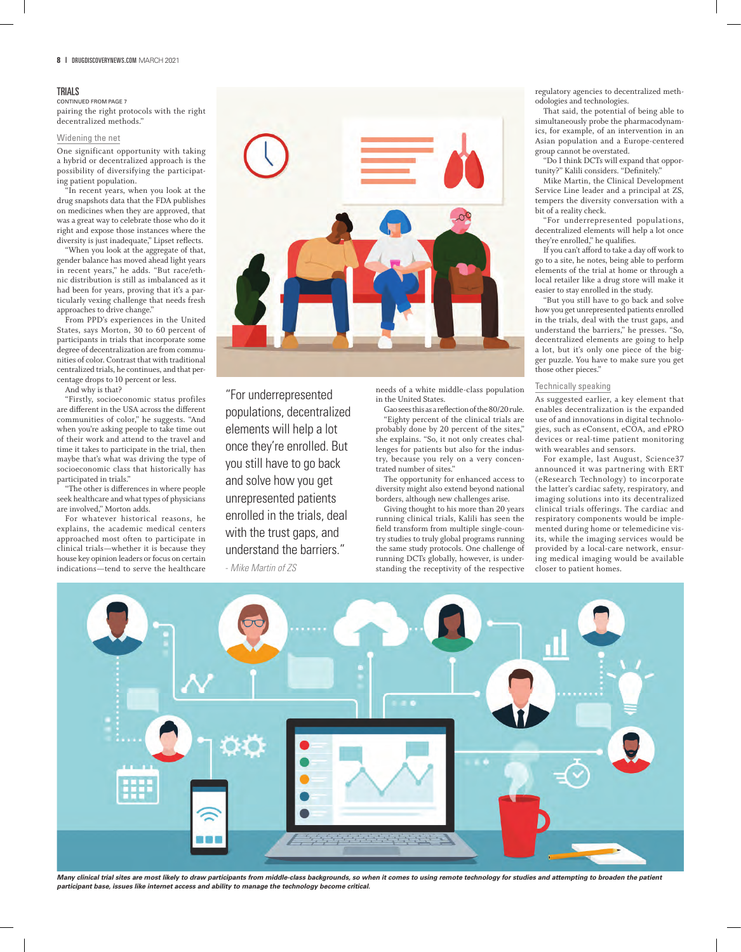#### **TRIALS**

pairing the right protocols with the right decentralized methods." CONTINUED FROM PAGE 7

#### Widening the net

One significant opportunity with taking a hybrid or decentralized approach is the possibility of diversifying the participating patient population.

"In recent years, when you look at the drug snapshots data that the FDA publishes on medicines when they are approved, that was a great way to celebrate those who do it right and expose those instances where the diversity is just inadequate," Lipset reflects.

"When you look at the aggregate of that, gender balance has moved ahead light years in recent years," he adds. "But race/ethnic distribution is still as imbalanced as it had been for years, proving that it's a particularly vexing challenge that needs fresh approaches to drive change."

From PPD's experiences in the United States, says Morton, 30 to 60 percent of participants in trials that incorporate some degree of decentralization are from communities of color. Contrast that with traditional centralized trials, he continues, and that percentage drops to 10 percent or less.

And why is that?

"Firstly, socioeconomic status profiles are different in the USA across the different communities of color," he suggests. "And when you're asking people to take time out of their work and attend to the travel and time it takes to participate in the trial, then maybe that's what was driving the type of socioeconomic class that historically has participated in trials."

"The other is differences in where people seek healthcare and what types of physicians are involved," Morton adds.

For whatever historical reasons, he explains, the academic medical centers approached most often to participate in clinical trials—whether it is because they house key opinion leaders or focus on certain indications—tend to serve the healthcare



"For underrepresented populations, decentralized elements will help a lot once they're enrolled. But you still have to go back and solve how you get unrepresented patients enrolled in the trials, deal with the trust gaps, and understand the barriers."

- *Mike Martin of ZS*

needs of a white middle-class population in the United States.

Gao sees this as a reflection of the 80/20 rule. "Eighty percent of the clinical trials are

probably done by 20 percent of the sites," she explains. "So, it not only creates challenges for patients but also for the industry, because you rely on a very concentrated number of sites."

The opportunity for enhanced access to diversity might also extend beyond national borders, although new challenges arise.

Giving thought to his more than 20 years running clinical trials, Kalili has seen the field transform from multiple single-country studies to truly global programs running the same study protocols. One challenge of running DCTs globally, however, is understanding the receptivity of the respective

regulatory agencies to decentralized methodologies and technologies.

That said, the potential of being able to simultaneously probe the pharmacodynamics, for example, of an intervention in an Asian population and a Europe-centered group cannot be overstated.

"Do I think DCTs will expand that opportunity?" Kalili considers. "Definitely."

Mike Martin, the Clinical Development Service Line leader and a principal at ZS, tempers the diversity conversation with a bit of a reality check.

"For underrepresented populations, decentralized elements will help a lot once they're enrolled," he qualifies.

If you can't afford to take a day off work to go to a site, he notes, being able to perform elements of the trial at home or through a local retailer like a drug store will make it easier to stay enrolled in the study.

"But you still have to go back and solve how you get unrepresented patients enrolled in the trials, deal with the trust gaps, and understand the barriers," he presses. "So, decentralized elements are going to help a lot, but it's only one piece of the bigger puzzle. You have to make sure you get those other pieces."

### Technically speaking

As suggested earlier, a key element that enables decentralization is the expanded use of and innovations in digital technologies, such as eConsent, eCOA, and ePRO devices or real-time patient monitoring with wearables and sensors.

For example, last August, Science37 announced it was partnering with ERT (eResearch Technology) to incorporate the latter's cardiac safety, respiratory, and imaging solutions into its decentralized clinical trials offerings. The cardiac and respiratory components would be implemented during home or telemedicine visits, while the imaging services would be provided by a local-care network, ensuring medical imaging would be available closer to patient homes.



*Many clinical trial sites are most likely to draw participants from middle-class backgrounds, so when it comes to using remote technology for studies and attempting to broaden the patient participant base, issues like internet access and ability to manage the technology become critical.*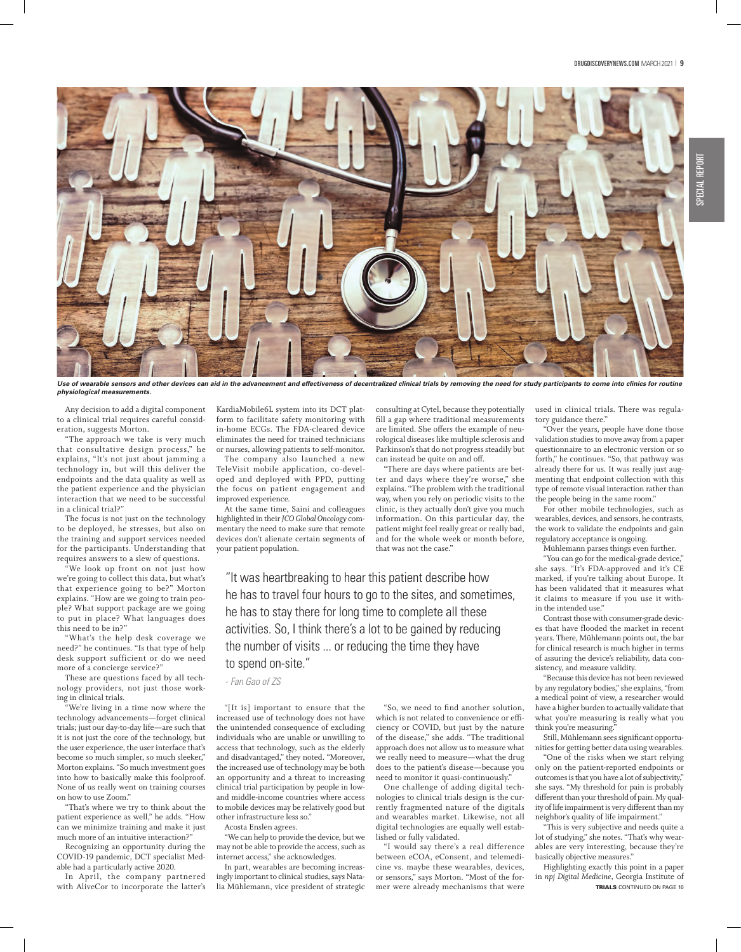

Use of wearable sensors and other devices can aid in the advancement and effectiveness of decentralized clinical trials by removing the need for study participants to come into clinics for routine *physiological measurements.*

Any decision to add a digital component to a clinical trial requires careful consideration, suggests Morton.

"The approach we take is very much that consultative design process," he explains, "It's not just about jamming a technology in, but will this deliver the endpoints and the data quality as well as the patient experience and the physician interaction that we need to be successful in a clinical trial?"

The focus is not just on the technology to be deployed, he stresses, but also on the training and support services needed for the participants. Understanding that requires answers to a slew of questions.

"We look up front on not just how we're going to collect this data, but what's that experience going to be?" Morton explains. "How are we going to train people? What support package are we going to put in place? What languages does this need to be in?"

"What's the help desk coverage we need?" he continues. "Is that type of help desk support sufficient or do we need more of a concierge service?"

These are questions faced by all technology providers, not just those working in clinical trials.

We're living in a time now where the technology advancements—forget clinical trials; just our day-to-day life—are such that it is not just the core of the technology, but the user experience, the user interface that's become so much simpler, so much sleeker," Morton explains. "So much investment goes into how to basically make this foolproof. None of us really went on training courses on how to use Zoom."

"That's where we try to think about the patient experience as well," he adds. "How can we minimize training and make it just much more of an intuitive interaction?"

Recognizing an opportunity during the COVID-19 pandemic, DCT specialist Medable had a particularly active 2020.

In April, the company partnered with AliveCor to incorporate the latter's KardiaMobile6L system into its DCT platform to facilitate safety monitoring with in-home ECGs. The FDA-cleared device eliminates the need for trained technicians or nurses, allowing patients to self-monitor.

The company also launched a new TeleVisit mobile application, co-developed and deployed with PPD, putting the focus on patient engagement and improved experience.

At the same time, Saini and colleagues highlighted in their *JCO Global Oncology* commentary the need to make sure that remote devices don't alienate certain segments of your patient population.

consulting at Cytel, because they potentially fill a gap where traditional measurements are limited. She offers the example of neurological diseases like multiple sclerosis and Parkinson's that do not progress steadily but can instead be quite on and off.

"There are days where patients are better and days where they're worse," she explains. "The problem with the traditional way, when you rely on periodic visits to the clinic, is they actually don't give you much information. On this particular day, the patient might feel really great or really bad, and for the whole week or month before, that was not the case."

"It was heartbreaking to hear this patient describe how he has to travel four hours to go to the sites, and sometimes, he has to stay there for long time to complete all these activities. So, I think there's a lot to be gained by reducing the number of visits ... or reducing the time they have to spend on-site."

- *Fan Gao of ZS*

"[It is] important to ensure that the increased use of technology does not have the unintended consequence of excluding individuals who are unable or unwilling to access that technology, such as the elderly and disadvantaged," they noted. "Moreover, the increased use of technology may be both an opportunity and a threat to increasing clinical trial participation by people in lowand middle-income countries where access to mobile devices may be relatively good but other infrastructure less so."

Acosta Enslen agrees.

"We can help to provide the device, but we may not be able to provide the access, such as internet access," she acknowledges.

In part, wearables are becoming increasingly important to clinical studies, says Natalia Mühlemann, vice president of strategic

"So, we need to find another solution, which is not related to convenience or efficiency or COVID, but just by the nature of the disease," she adds. "The traditional approach does not allow us to measure what we really need to measure—what the drug does to the patient's disease—because you need to monitor it quasi-continuously."

One challenge of adding digital technologies to clinical trials design is the currently fragmented nature of the digitals and wearables market. Likewise, not all digital technologies are equally well established or fully validated.

"I would say there's a real difference between eCOA, eConsent, and telemedicine vs. maybe these wearables, devices, or sensors," says Morton. "Most of the former were already mechanisms that were used in clinical trials. There was regulatory guidance there."

"Over the years, people have done those validation studies to move away from a paper questionnaire to an electronic version or so forth," he continues. "So, that pathway was already there for us. It was really just augmenting that endpoint collection with this type of remote visual interaction rather than the people being in the same room."

For other mobile technologies, such as wearables, devices, and sensors, he contrasts, the work to validate the endpoints and gain regulatory acceptance is ongoing.

Mühlemann parses things even further.

"You can go for the medical-grade device," she says. "It's FDA-approved and it's CE marked, if you're talking about Europe. It has been validated that it measures what it claims to measure if you use it within the intended use."

Contrast those with consumer-grade devices that have flooded the market in recent years. There, Mühlemann points out, the bar for clinical research is much higher in terms of assuring the device's reliability, data consistency, and measure validity.

"Because this device has not been reviewed by any regulatory bodies," she explains, "from a medical point of view, a researcher would have a higher burden to actually validate that what you're measuring is really what you think you're measuring."

Still, Mühlemann sees significant opportunities for getting better data using wearables.

"One of the risks when we start relying only on the patient-reported endpoints or outcomes is that you have a lot of subjectivity," she says. "My threshold for pain is probably different than your threshold of pain. My quality of life impairment is very different than my neighbor's quality of life impairment."

"This is very subjective and needs quite a lot of studying," she notes. "That's why wearables are very interesting, because they're basically objective measures."

Highlighting exactly this point in a paper in *npj Digital Medicine*, Georgia Institute of TRIALS CONTINUED ON PAGE 10